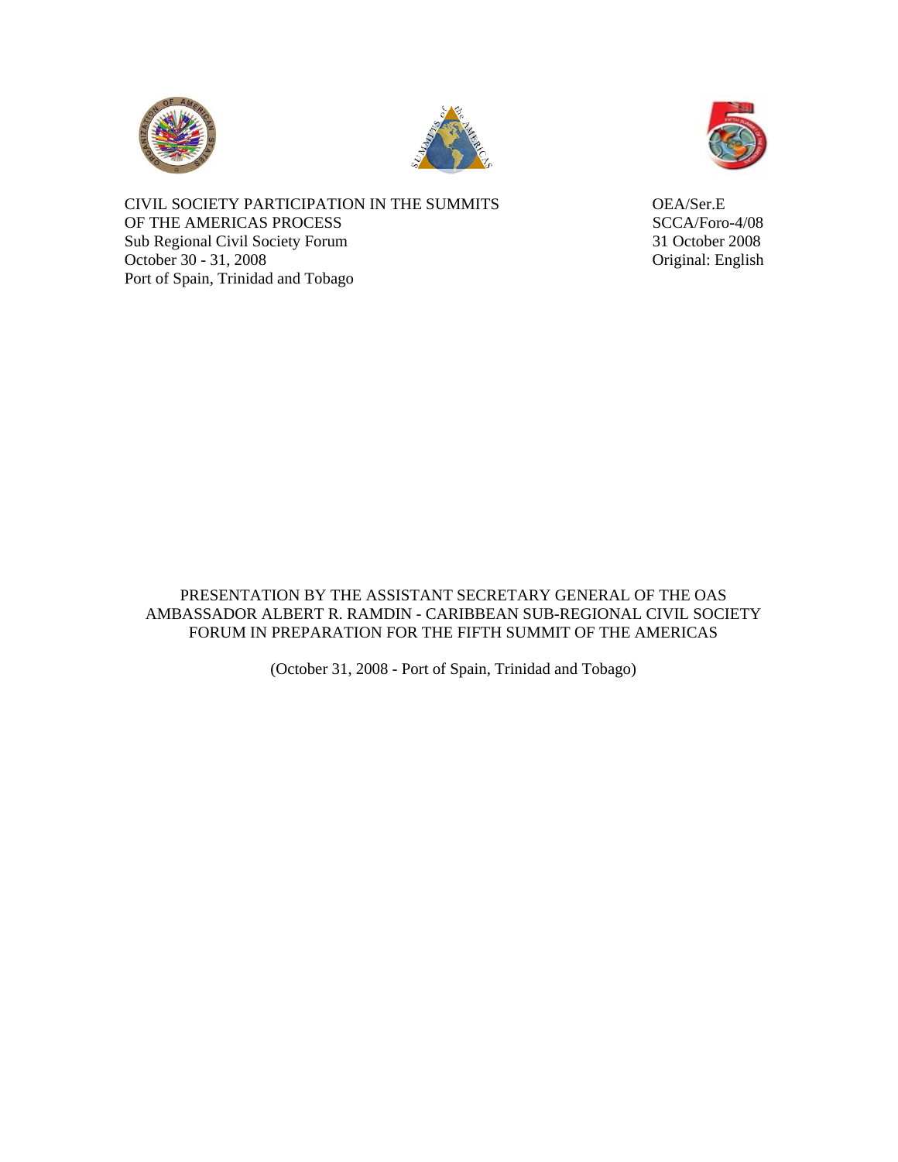





CIVIL SOCIETY PARTICIPATION IN THE SUMMITS OEA/Ser.E OF THE AMERICAS PROCESS SCCA/Foro-4/08 Sub Regional Civil Society Forum 31 October 2008 October 30 - 31, 2008 Original: English Port of Spain, Trinidad and Tobago

PRESENTATION BY THE ASSISTANT SECRETARY GENERAL OF THE OAS AMBASSADOR ALBERT R. RAMDIN - CARIBBEAN SUB-REGIONAL CIVIL SOCIETY FORUM IN PREPARATION FOR THE FIFTH SUMMIT OF THE AMERICAS

(October 31, 2008 - Port of Spain, Trinidad and Tobago)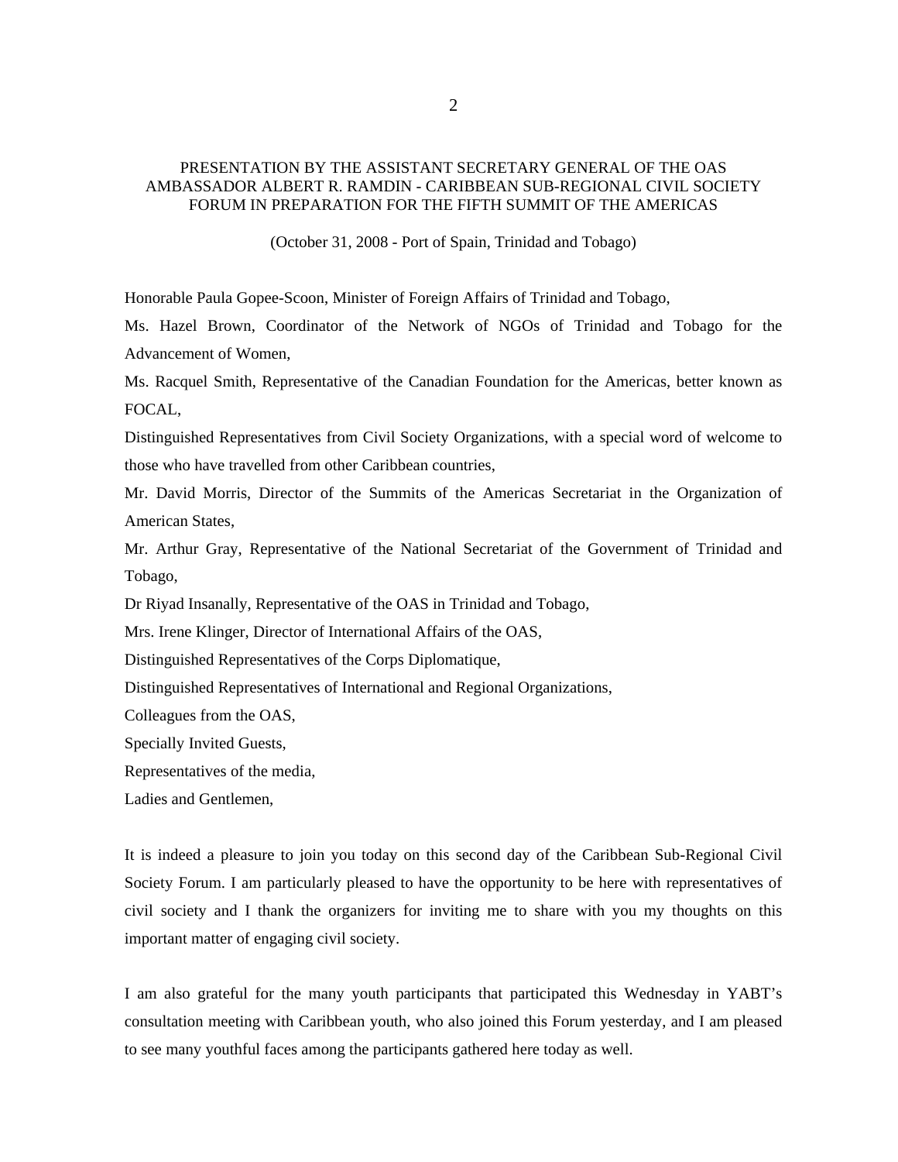## PRESENTATION BY THE ASSISTANT SECRETARY GENERAL OF THE OAS AMBASSADOR ALBERT R. RAMDIN - CARIBBEAN SUB-REGIONAL CIVIL SOCIETY FORUM IN PREPARATION FOR THE FIFTH SUMMIT OF THE AMERICAS

(October 31, 2008 - Port of Spain, Trinidad and Tobago)

Honorable Paula Gopee-Scoon, Minister of Foreign Affairs of Trinidad and Tobago,

Ms. Hazel Brown, Coordinator of the Network of NGOs of Trinidad and Tobago for the Advancement of Women,

Ms. Racquel Smith, Representative of the Canadian Foundation for the Americas, better known as FOCAL,

Distinguished Representatives from Civil Society Organizations, with a special word of welcome to those who have travelled from other Caribbean countries,

Mr. David Morris, Director of the Summits of the Americas Secretariat in the Organization of American States,

Mr. Arthur Gray, Representative of the National Secretariat of the Government of Trinidad and Tobago,

Dr Riyad Insanally, Representative of the OAS in Trinidad and Tobago,

Mrs. Irene Klinger, Director of International Affairs of the OAS,

Distinguished Representatives of the Corps Diplomatique,

Distinguished Representatives of International and Regional Organizations,

Colleagues from the OAS,

Specially Invited Guests,

Representatives of the media,

Ladies and Gentlemen,

It is indeed a pleasure to join you today on this second day of the Caribbean Sub-Regional Civil Society Forum. I am particularly pleased to have the opportunity to be here with representatives of civil society and I thank the organizers for inviting me to share with you my thoughts on this important matter of engaging civil society.

I am also grateful for the many youth participants that participated this Wednesday in YABT's consultation meeting with Caribbean youth, who also joined this Forum yesterday, and I am pleased to see many youthful faces among the participants gathered here today as well.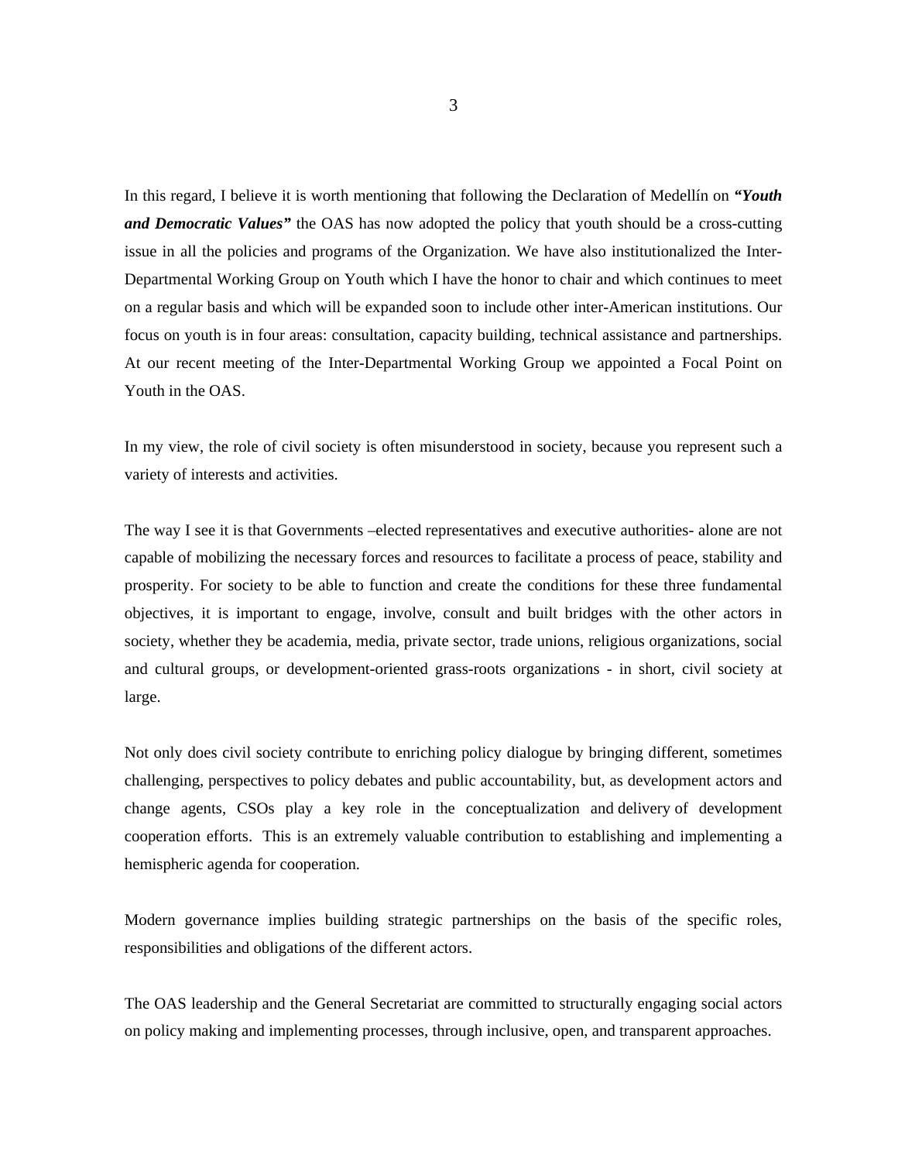In this regard, I believe it is worth mentioning that following the Declaration of Medellín on *"Youth and Democratic Values"* the OAS has now adopted the policy that youth should be a cross-cutting issue in all the policies and programs of the Organization. We have also institutionalized the Inter-Departmental Working Group on Youth which I have the honor to chair and which continues to meet on a regular basis and which will be expanded soon to include other inter-American institutions. Our focus on youth is in four areas: consultation, capacity building, technical assistance and partnerships. At our recent meeting of the Inter-Departmental Working Group we appointed a Focal Point on Youth in the OAS.

In my view, the role of civil society is often misunderstood in society, because you represent such a variety of interests and activities.

The way I see it is that Governments –elected representatives and executive authorities- alone are not capable of mobilizing the necessary forces and resources to facilitate a process of peace, stability and prosperity. For society to be able to function and create the conditions for these three fundamental objectives, it is important to engage, involve, consult and built bridges with the other actors in society, whether they be academia, media, private sector, trade unions, religious organizations, social and cultural groups, or development-oriented grass-roots organizations - in short, civil society at large.

Not only does civil society contribute to enriching policy dialogue by bringing different, sometimes challenging, perspectives to policy debates and public accountability, but, as development actors and change agents, CSOs play a key role in the conceptualization and delivery of development cooperation efforts. This is an extremely valuable contribution to establishing and implementing a hemispheric agenda for cooperation.

Modern governance implies building strategic partnerships on the basis of the specific roles, responsibilities and obligations of the different actors.

The OAS leadership and the General Secretariat are committed to structurally engaging social actors on policy making and implementing processes, through inclusive, open, and transparent approaches.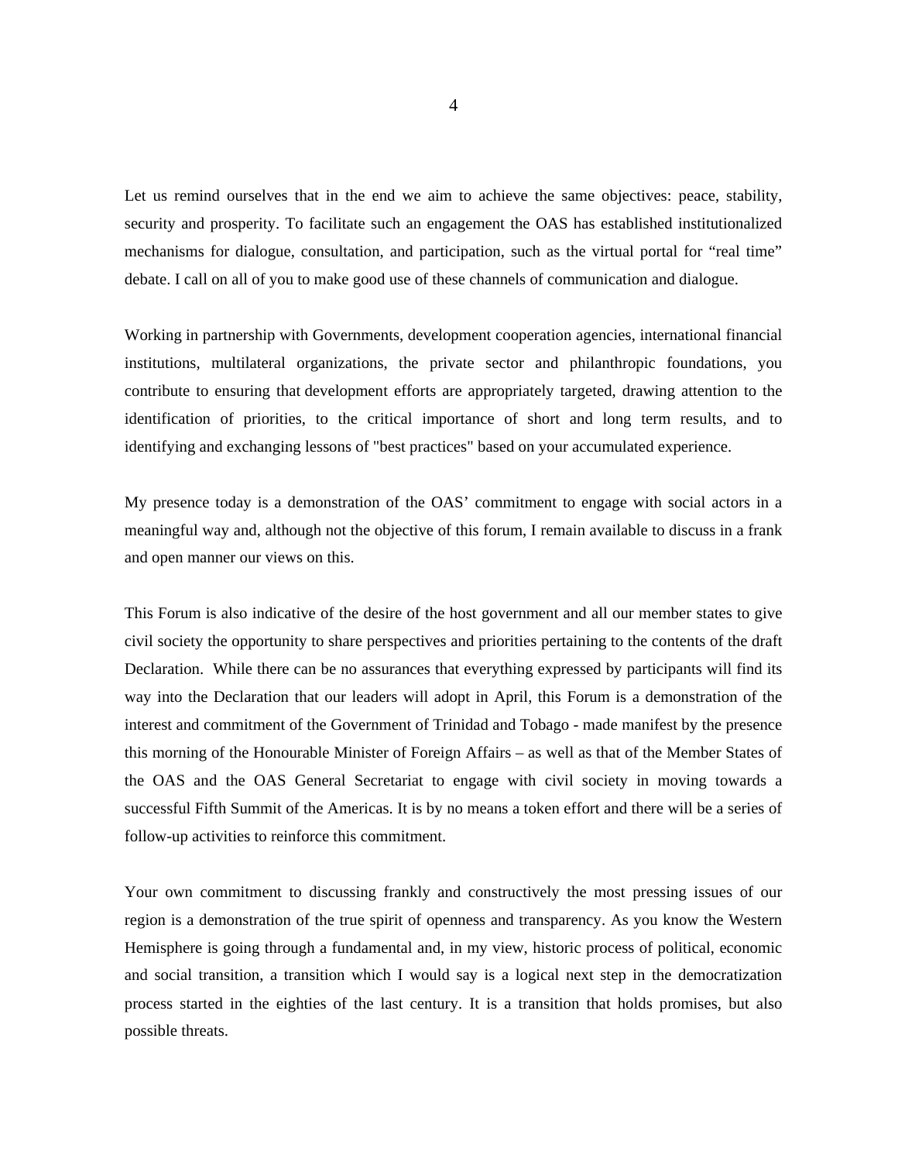Let us remind ourselves that in the end we aim to achieve the same objectives: peace, stability, security and prosperity. To facilitate such an engagement the OAS has established institutionalized mechanisms for dialogue, consultation, and participation, such as the virtual portal for "real time" debate. I call on all of you to make good use of these channels of communication and dialogue.

Working in partnership with Governments, development cooperation agencies, international financial institutions, multilateral organizations, the private sector and philanthropic foundations, you contribute to ensuring that development efforts are appropriately targeted, drawing attention to the identification of priorities, to the critical importance of short and long term results, and to identifying and exchanging lessons of "best practices" based on your accumulated experience.

My presence today is a demonstration of the OAS' commitment to engage with social actors in a meaningful way and, although not the objective of this forum, I remain available to discuss in a frank and open manner our views on this.

This Forum is also indicative of the desire of the host government and all our member states to give civil society the opportunity to share perspectives and priorities pertaining to the contents of the draft Declaration. While there can be no assurances that everything expressed by participants will find its way into the Declaration that our leaders will adopt in April, this Forum is a demonstration of the interest and commitment of the Government of Trinidad and Tobago - made manifest by the presence this morning of the Honourable Minister of Foreign Affairs – as well as that of the Member States of the OAS and the OAS General Secretariat to engage with civil society in moving towards a successful Fifth Summit of the Americas. It is by no means a token effort and there will be a series of follow-up activities to reinforce this commitment.

Your own commitment to discussing frankly and constructively the most pressing issues of our region is a demonstration of the true spirit of openness and transparency. As you know the Western Hemisphere is going through a fundamental and, in my view, historic process of political, economic and social transition, a transition which I would say is a logical next step in the democratization process started in the eighties of the last century. It is a transition that holds promises, but also possible threats.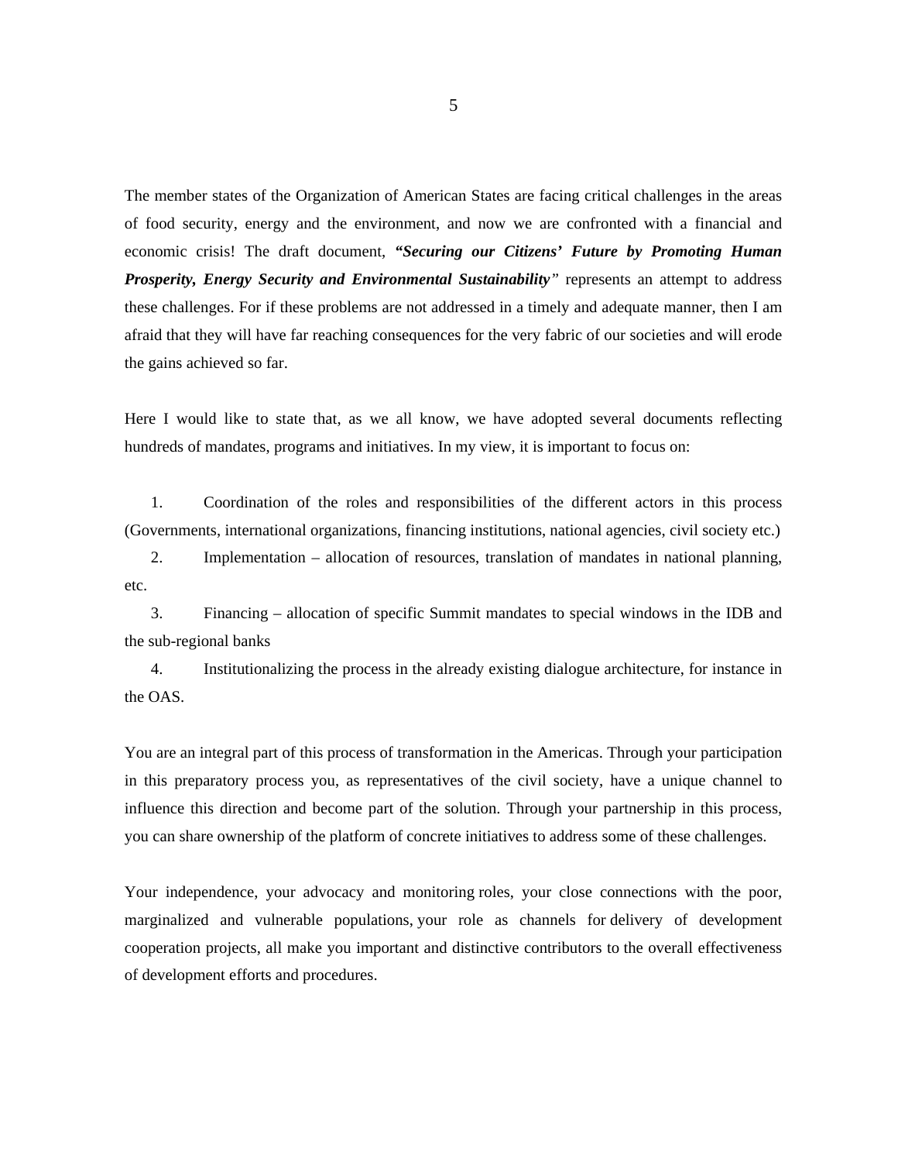The member states of the Organization of American States are facing critical challenges in the areas of food security, energy and the environment, and now we are confronted with a financial and economic crisis! The draft document, *"Securing our Citizens' Future by Promoting Human Prosperity, Energy Security and Environmental Sustainability"* represents an attempt to address these challenges. For if these problems are not addressed in a timely and adequate manner, then I am afraid that they will have far reaching consequences for the very fabric of our societies and will erode the gains achieved so far.

Here I would like to state that, as we all know, we have adopted several documents reflecting hundreds of mandates, programs and initiatives. In my view, it is important to focus on:

1. Coordination of the roles and responsibilities of the different actors in this process (Governments, international organizations, financing institutions, national agencies, civil society etc.)

2. Implementation – allocation of resources, translation of mandates in national planning, etc.

3. Financing – allocation of specific Summit mandates to special windows in the IDB and the sub-regional banks

4. Institutionalizing the process in the already existing dialogue architecture, for instance in the OAS.

You are an integral part of this process of transformation in the Americas. Through your participation in this preparatory process you, as representatives of the civil society, have a unique channel to influence this direction and become part of the solution. Through your partnership in this process, you can share ownership of the platform of concrete initiatives to address some of these challenges.

Your independence, your advocacy and monitoring roles, your close connections with the poor, marginalized and vulnerable populations, your role as channels for delivery of development cooperation projects, all make you important and distinctive contributors to the overall effectiveness of development efforts and procedures.